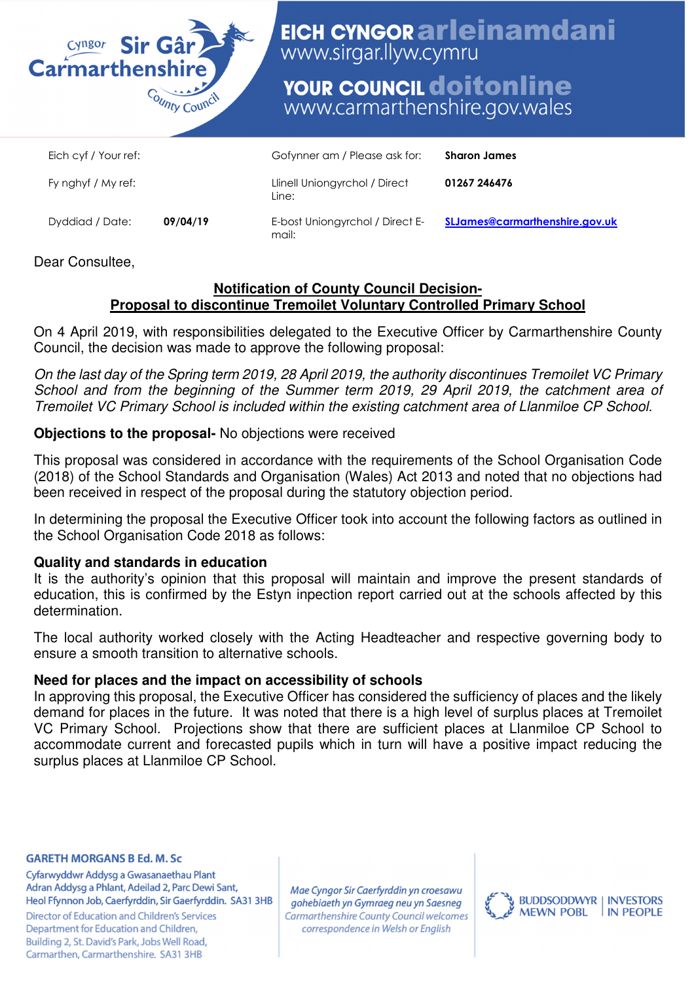

# EICH CYNGOR arleinamdani www.sirgar.llyw.cymru

# **YOUR COUNCIL doitonline** www.carmarthenshire.gov.wales

| Eich cyf / Your ref: |          | Gofynner am / Please ask for:            | <b>Sharon James</b>                   |
|----------------------|----------|------------------------------------------|---------------------------------------|
| Fy nghyf / My ref:   |          | Llinell Uniongyrchol / Direct<br>Line:   | 01267 246476                          |
| Dyddiad / Date:      | 09/04/19 | E-bost Uniongyrchol / Direct E-<br>mail: | <b>SLJames@carmarthenshire.gov.uk</b> |

# Dear Consultee,

#### **Notification of County Council Decision-Proposal to discontinue Tremoilet Voluntary Controlled Primary School**

On 4 April 2019, with responsibilities delegated to the Executive Officer by Carmarthenshire County Council, the decision was made to approve the following proposal:

On the last day of the Spring term 2019, 28 April 2019, the authority discontinues Tremoilet VC Primary School and from the beginning of the Summer term 2019, 29 April 2019, the catchment area of Tremoilet VC Primary School is included within the existing catchment area of Llanmiloe CP School.

# **Objections to the proposal-** No objections were received

This proposal was considered in accordance with the requirements of the School Organisation Code (2018) of the School Standards and Organisation (Wales) Act 2013 and noted that no objections had been received in respect of the proposal during the statutory objection period.

In determining the proposal the Executive Officer took into account the following factors as outlined in the School Organisation Code 2018 as follows:

## **Quality and standards in education**

It is the authority's opinion that this proposal will maintain and improve the present standards of education, this is confirmed by the Estyn inpection report carried out at the schools affected by this determination.

The local authority worked closely with the Acting Headteacher and respective governing body to ensure a smooth transition to alternative schools.

## **Need for places and the impact on accessibility of schools**

In approving this proposal, the Executive Officer has considered the sufficiency of places and the likely demand for places in the future. It was noted that there is a high level of surplus places at Tremoilet VC Primary School. Projections show that there are sufficient places at Llanmiloe CP School to accommodate current and forecasted pupils which in turn will have a positive impact reducing the surplus places at Llanmiloe CP School.

#### **GARETH MORGANS B Ed. M. Sc**

Cyfarwyddwr Addysg a Gwasanaethau Plant Adran Addysg a Phlant, Adeilad 2, Parc Dewi Sant, Heol Ffynnon Job, Caerfyrddin, Sir Gaerfyrddin. SA31 3HB

**Director of Education and Children's Services** Department for Education and Children, Building 2, St. David's Park, Jobs Well Road, Carmarthen, Carmarthenshire. SA31 3HB

Mae Cyngor Sir Caerfyrddin yn croesawu gohebiaeth yn Gymraeg neu yn Saesneg **Carmarthenshire County Council welcomes** correspondence in Welsh or English